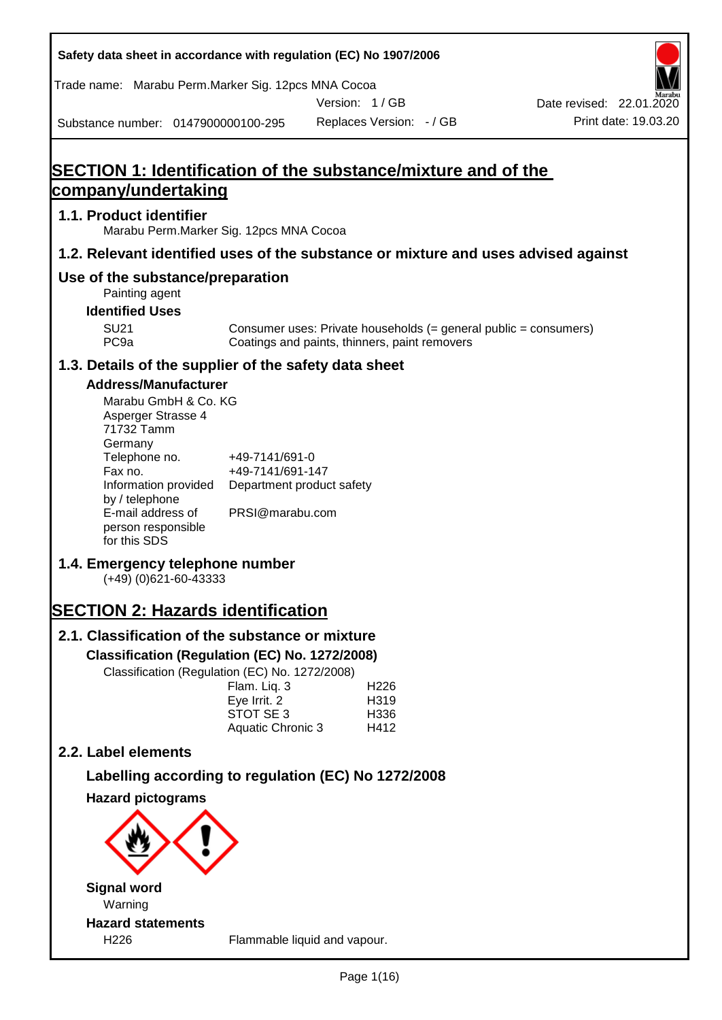| Safety data sheet in accordance with regulation (EC) No 1907/2006                                                                                                                                                                                                                                                                                                                                                                                  |                                                                                                                                                                                                               |               |                                          |                                                                                    |
|----------------------------------------------------------------------------------------------------------------------------------------------------------------------------------------------------------------------------------------------------------------------------------------------------------------------------------------------------------------------------------------------------------------------------------------------------|---------------------------------------------------------------------------------------------------------------------------------------------------------------------------------------------------------------|---------------|------------------------------------------|------------------------------------------------------------------------------------|
| Trade name: Marabu Perm.Marker Sig. 12pcs MNA Cocoa                                                                                                                                                                                                                                                                                                                                                                                                |                                                                                                                                                                                                               |               |                                          |                                                                                    |
| Substance number: 0147900000100-295                                                                                                                                                                                                                                                                                                                                                                                                                |                                                                                                                                                                                                               | Version: 1/GB | Replaces Version: - / GB                 | Date revised: 22.01.2020<br>Print date: 19.03.20                                   |
|                                                                                                                                                                                                                                                                                                                                                                                                                                                    |                                                                                                                                                                                                               |               |                                          |                                                                                    |
| <b>SECTION 1: Identification of the substance/mixture and of the</b><br>company/undertaking                                                                                                                                                                                                                                                                                                                                                        |                                                                                                                                                                                                               |               |                                          |                                                                                    |
| 1.1. Product identifier                                                                                                                                                                                                                                                                                                                                                                                                                            | Marabu Perm. Marker Sig. 12pcs MNA Cocoa                                                                                                                                                                      |               |                                          |                                                                                    |
|                                                                                                                                                                                                                                                                                                                                                                                                                                                    |                                                                                                                                                                                                               |               |                                          | 1.2. Relevant identified uses of the substance or mixture and uses advised against |
| Use of the substance/preparation                                                                                                                                                                                                                                                                                                                                                                                                                   |                                                                                                                                                                                                               |               |                                          |                                                                                    |
| Painting agent<br><b>Identified Uses</b>                                                                                                                                                                                                                                                                                                                                                                                                           |                                                                                                                                                                                                               |               |                                          |                                                                                    |
| <b>SU21</b><br>PC <sub>9a</sub>                                                                                                                                                                                                                                                                                                                                                                                                                    | Coatings and paints, thinners, paint removers                                                                                                                                                                 |               |                                          | Consumer uses: Private households (= general public = consumers)                   |
| 1.3. Details of the supplier of the safety data sheet                                                                                                                                                                                                                                                                                                                                                                                              |                                                                                                                                                                                                               |               |                                          |                                                                                    |
| <b>Address/Manufacturer</b><br>Marabu GmbH & Co. KG<br>Asperger Strasse 4<br>71732 Tamm<br>Germany<br>Telephone no.<br>Fax no.<br>Information provided<br>by / telephone<br>E-mail address of<br>person responsible<br>for this SDS<br>1.4. Emergency telephone number<br>$(+49)$ (0)621-60-43333<br><b>SECTION 2: Hazards identification</b><br>2.1. Classification of the substance or mixture<br>Classification (Regulation (EC) No. 1272/2008) | +49-7141/691-0<br>+49-7141/691-147<br>Department product safety<br>PRSI@marabu.com<br>Classification (Regulation (EC) No. 1272/2008)<br>Flam. Liq. 3<br>Eye Irrit. 2<br>STOT SE 3<br><b>Aquatic Chronic 3</b> |               | H <sub>226</sub><br>H319<br>H336<br>H412 |                                                                                    |
| 2.2. Label elements<br>Labelling according to regulation (EC) No 1272/2008                                                                                                                                                                                                                                                                                                                                                                         |                                                                                                                                                                                                               |               |                                          |                                                                                    |
| <b>Hazard pictograms</b>                                                                                                                                                                                                                                                                                                                                                                                                                           |                                                                                                                                                                                                               |               |                                          |                                                                                    |
|                                                                                                                                                                                                                                                                                                                                                                                                                                                    |                                                                                                                                                                                                               |               |                                          |                                                                                    |
| <b>Signal word</b><br>Warning                                                                                                                                                                                                                                                                                                                                                                                                                      |                                                                                                                                                                                                               |               |                                          |                                                                                    |
| <b>Hazard statements</b><br>H226                                                                                                                                                                                                                                                                                                                                                                                                                   | Flammable liquid and vapour.                                                                                                                                                                                  |               |                                          |                                                                                    |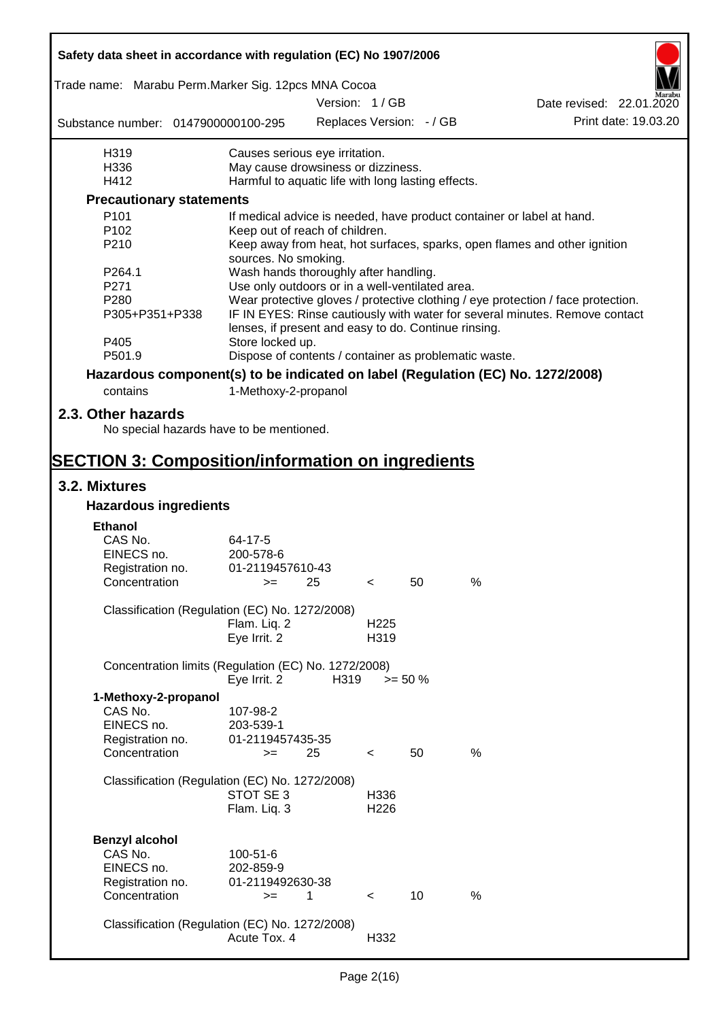| Safety data sheet in accordance with regulation (EC) No 1907/2006                                                                                     |                                                       |               |                  |                          |      |                                                                                  |
|-------------------------------------------------------------------------------------------------------------------------------------------------------|-------------------------------------------------------|---------------|------------------|--------------------------|------|----------------------------------------------------------------------------------|
| Trade name: Marabu Perm.Marker Sig. 12pcs MNA Cocoa                                                                                                   |                                                       |               |                  |                          |      |                                                                                  |
|                                                                                                                                                       |                                                       | Version: 1/GB |                  |                          |      | Date revised: 22.01.2020                                                         |
| Substance number: 0147900000100-295                                                                                                                   |                                                       |               |                  | Replaces Version: - / GB |      | Print date: 19.03.20                                                             |
| H319                                                                                                                                                  | Causes serious eye irritation.                        |               |                  |                          |      |                                                                                  |
| H336                                                                                                                                                  | May cause drowsiness or dizziness.                    |               |                  |                          |      |                                                                                  |
| H412                                                                                                                                                  | Harmful to aquatic life with long lasting effects.    |               |                  |                          |      |                                                                                  |
| <b>Precautionary statements</b>                                                                                                                       |                                                       |               |                  |                          |      |                                                                                  |
| P <sub>101</sub>                                                                                                                                      |                                                       |               |                  |                          |      | If medical advice is needed, have product container or label at hand.            |
| P <sub>102</sub>                                                                                                                                      | Keep out of reach of children.                        |               |                  |                          |      |                                                                                  |
| P210                                                                                                                                                  | sources. No smoking.                                  |               |                  |                          |      | Keep away from heat, hot surfaces, sparks, open flames and other ignition        |
| P264.1                                                                                                                                                | Wash hands thoroughly after handling.                 |               |                  |                          |      |                                                                                  |
| P271                                                                                                                                                  | Use only outdoors or in a well-ventilated area.       |               |                  |                          |      |                                                                                  |
| P <sub>280</sub>                                                                                                                                      |                                                       |               |                  |                          |      | Wear protective gloves / protective clothing / eye protection / face protection. |
| P305+P351+P338<br>IF IN EYES: Rinse cautiously with water for several minutes. Remove contact<br>lenses, if present and easy to do. Continue rinsing. |                                                       |               |                  |                          |      |                                                                                  |
| P405                                                                                                                                                  | Store locked up.                                      |               |                  |                          |      |                                                                                  |
| P501.9                                                                                                                                                | Dispose of contents / container as problematic waste. |               |                  |                          |      |                                                                                  |
| Hazardous component(s) to be indicated on label (Regulation (EC) No. 1272/2008)                                                                       |                                                       |               |                  |                          |      |                                                                                  |
| contains                                                                                                                                              | 1-Methoxy-2-propanol                                  |               |                  |                          |      |                                                                                  |
| 2.3. Other hazards                                                                                                                                    |                                                       |               |                  |                          |      |                                                                                  |
| No special hazards have to be mentioned.                                                                                                              |                                                       |               |                  |                          |      |                                                                                  |
| <b>SECTION 3: Composition/information on ingredients</b>                                                                                              |                                                       |               |                  |                          |      |                                                                                  |
| 3.2. Mixtures                                                                                                                                         |                                                       |               |                  |                          |      |                                                                                  |
| <b>Hazardous ingredients</b>                                                                                                                          |                                                       |               |                  |                          |      |                                                                                  |
| <b>Ethanol</b>                                                                                                                                        |                                                       |               |                  |                          |      |                                                                                  |
| CAS No.                                                                                                                                               | 64-17-5                                               |               |                  |                          |      |                                                                                  |
| EINECS no.                                                                                                                                            | 200-578-6                                             |               |                  |                          |      |                                                                                  |
| Registration no.                                                                                                                                      | 01-2119457610-43                                      |               |                  |                          |      |                                                                                  |
| Concentration                                                                                                                                         | $>=$ 25                                               |               | $\prec$          | 50                       | %    |                                                                                  |
| Classification (Regulation (EC) No. 1272/2008)                                                                                                        |                                                       |               |                  |                          |      |                                                                                  |
|                                                                                                                                                       | Flam. Liq. 2                                          |               | H <sub>225</sub> |                          |      |                                                                                  |
|                                                                                                                                                       | Eye Irrit. 2                                          |               | H319             |                          |      |                                                                                  |
| Concentration limits (Regulation (EC) No. 1272/2008)                                                                                                  |                                                       |               |                  |                          |      |                                                                                  |
|                                                                                                                                                       | Eye Irrit. 2                                          | H319          |                  | $>= 50 \%$               |      |                                                                                  |
| 1-Methoxy-2-propanol                                                                                                                                  |                                                       |               |                  |                          |      |                                                                                  |
| CAS No.                                                                                                                                               | 107-98-2                                              |               |                  |                          |      |                                                                                  |
| EINECS no.                                                                                                                                            | 203-539-1                                             |               |                  |                          |      |                                                                                  |
| Registration no.                                                                                                                                      | 01-2119457435-35                                      |               |                  |                          |      |                                                                                  |
| Concentration                                                                                                                                         | $=$                                                   | 25            | $\lt$            | 50                       | $\%$ |                                                                                  |
| Classification (Regulation (EC) No. 1272/2008)                                                                                                        |                                                       |               |                  |                          |      |                                                                                  |
|                                                                                                                                                       | STOT SE 3                                             |               | H336             |                          |      |                                                                                  |
|                                                                                                                                                       | Flam. Liq. 3                                          |               | H226             |                          |      |                                                                                  |
|                                                                                                                                                       |                                                       |               |                  |                          |      |                                                                                  |
| <b>Benzyl alcohol</b>                                                                                                                                 |                                                       |               |                  |                          |      |                                                                                  |
| CAS No.                                                                                                                                               | 100-51-6                                              |               |                  |                          |      |                                                                                  |
| EINECS no.                                                                                                                                            | 202-859-9                                             |               |                  |                          |      |                                                                                  |
| Registration no.                                                                                                                                      | 01-2119492630-38                                      |               |                  |                          |      |                                                                                  |
| Concentration                                                                                                                                         | $=$                                                   | 1             | $\prec$          | 10                       | %    |                                                                                  |
| Classification (Regulation (EC) No. 1272/2008)                                                                                                        |                                                       |               |                  |                          |      |                                                                                  |
|                                                                                                                                                       | Acute Tox. 4                                          |               | H332             |                          |      |                                                                                  |
|                                                                                                                                                       |                                                       |               |                  |                          |      |                                                                                  |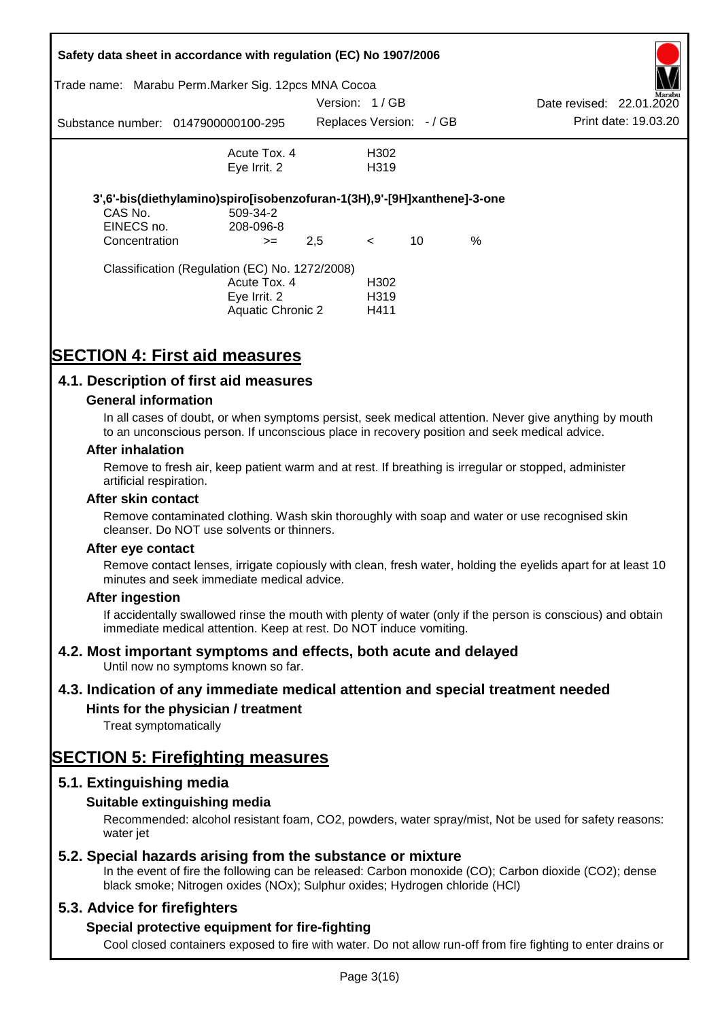| Safety data sheet in accordance with regulation (EC) No 1907/2006 |                                                                         |               |                          |    |      |                          |                      |
|-------------------------------------------------------------------|-------------------------------------------------------------------------|---------------|--------------------------|----|------|--------------------------|----------------------|
|                                                                   | Trade name: Marabu Perm. Marker Sig. 12pcs MNA Cocoa                    |               |                          |    |      |                          | Marabu               |
|                                                                   |                                                                         | Version: 1/GB |                          |    |      | Date revised: 22.01.2020 |                      |
|                                                                   | Substance number: 0147900000100-295                                     |               | Replaces Version: - / GB |    |      |                          | Print date: 19.03.20 |
|                                                                   | Acute Tox. 4                                                            |               | H <sub>302</sub>         |    |      |                          |                      |
|                                                                   | Eye Irrit. 2                                                            |               | H319                     |    |      |                          |                      |
|                                                                   | 3',6'-bis(diethylamino)spiro[isobenzofuran-1(3H),9'-[9H]xanthene]-3-one |               |                          |    |      |                          |                      |
| CAS No.                                                           | 509-34-2                                                                |               |                          |    |      |                          |                      |
| EINECS no.                                                        | 208-096-8                                                               |               |                          |    |      |                          |                      |
| Concentration                                                     | $>=$                                                                    | 2,5           | $\prec$                  | 10 | $\%$ |                          |                      |
|                                                                   | Classification (Regulation (EC) No. 1272/2008)                          |               |                          |    |      |                          |                      |
|                                                                   | Acute Tox. 4                                                            |               | H302                     |    |      |                          |                      |
|                                                                   | Eye Irrit. 2                                                            |               | H <sub>3</sub> 19        |    |      |                          |                      |
|                                                                   | Aquatic Chronic 2                                                       |               | H411                     |    |      |                          |                      |

# **SECTION 4: First aid measures**

## **4.1. Description of first aid measures**

### **General information**

In all cases of doubt, or when symptoms persist, seek medical attention. Never give anything by mouth to an unconscious person. If unconscious place in recovery position and seek medical advice.

### **After inhalation**

Remove to fresh air, keep patient warm and at rest. If breathing is irregular or stopped, administer artificial respiration.

#### **After skin contact**

Remove contaminated clothing. Wash skin thoroughly with soap and water or use recognised skin cleanser. Do NOT use solvents or thinners.

#### **After eye contact**

Remove contact lenses, irrigate copiously with clean, fresh water, holding the eyelids apart for at least 10 minutes and seek immediate medical advice.

### **After ingestion**

If accidentally swallowed rinse the mouth with plenty of water (only if the person is conscious) and obtain immediate medical attention. Keep at rest. Do NOT induce vomiting.

### **4.2. Most important symptoms and effects, both acute and delayed**

Until now no symptoms known so far.

### **4.3. Indication of any immediate medical attention and special treatment needed**

### **Hints for the physician / treatment**

Treat symptomatically

# **SECTION 5: Firefighting measures**

### **5.1. Extinguishing media**

### **Suitable extinguishing media**

Recommended: alcohol resistant foam, CO2, powders, water spray/mist, Not be used for safety reasons: water *iet* 

### **5.2. Special hazards arising from the substance or mixture**

In the event of fire the following can be released: Carbon monoxide (CO); Carbon dioxide (CO2); dense black smoke; Nitrogen oxides (NOx); Sulphur oxides; Hydrogen chloride (HCl)

### **5.3. Advice for firefighters**

### **Special protective equipment for fire-fighting**

Cool closed containers exposed to fire with water. Do not allow run-off from fire fighting to enter drains or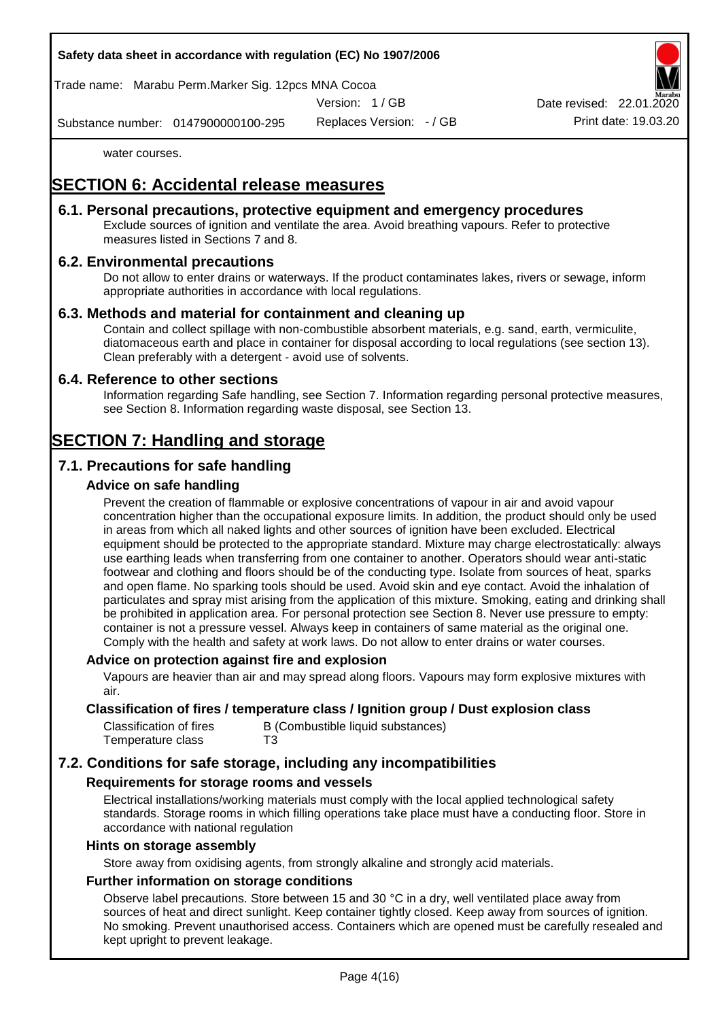### **Safety data sheet in accordance with regulation (EC) No 1907/2006**

Trade name: Marabu Perm.Marker Sig. 12pcs MNA Cocoa

Version: 1 / GB

Replaces Version: - / GB Print date: 19.03.20 Date revised: 22.01.

Substance number: 0147900000100-295

water courses.

# **SECTION 6: Accidental release measures**

### **6.1. Personal precautions, protective equipment and emergency procedures**

Exclude sources of ignition and ventilate the area. Avoid breathing vapours. Refer to protective measures listed in Sections 7 and 8.

### **6.2. Environmental precautions**

Do not allow to enter drains or waterways. If the product contaminates lakes, rivers or sewage, inform appropriate authorities in accordance with local regulations.

### **6.3. Methods and material for containment and cleaning up**

Contain and collect spillage with non-combustible absorbent materials, e.g. sand, earth, vermiculite, diatomaceous earth and place in container for disposal according to local regulations (see section 13). Clean preferably with a detergent - avoid use of solvents.

### **6.4. Reference to other sections**

Information regarding Safe handling, see Section 7. Information regarding personal protective measures, see Section 8. Information regarding waste disposal, see Section 13.

# **SECTION 7: Handling and storage**

## **7.1. Precautions for safe handling**

### **Advice on safe handling**

Prevent the creation of flammable or explosive concentrations of vapour in air and avoid vapour concentration higher than the occupational exposure limits. In addition, the product should only be used in areas from which all naked lights and other sources of ignition have been excluded. Electrical equipment should be protected to the appropriate standard. Mixture may charge electrostatically: always use earthing leads when transferring from one container to another. Operators should wear anti-static footwear and clothing and floors should be of the conducting type. Isolate from sources of heat, sparks and open flame. No sparking tools should be used. Avoid skin and eye contact. Avoid the inhalation of particulates and spray mist arising from the application of this mixture. Smoking, eating and drinking shall be prohibited in application area. For personal protection see Section 8. Never use pressure to empty: container is not a pressure vessel. Always keep in containers of same material as the original one. Comply with the health and safety at work laws. Do not allow to enter drains or water courses.

### **Advice on protection against fire and explosion**

Vapours are heavier than air and may spread along floors. Vapours may form explosive mixtures with air.

### **Classification of fires / temperature class / Ignition group / Dust explosion class**

| Classification of fires | B (Combustible liquid substances) |
|-------------------------|-----------------------------------|
| Temperature class       | T3                                |

## **7.2. Conditions for safe storage, including any incompatibilities**

### **Requirements for storage rooms and vessels**

Electrical installations/working materials must comply with the local applied technological safety standards. Storage rooms in which filling operations take place must have a conducting floor. Store in accordance with national regulation

#### **Hints on storage assembly**

Store away from oxidising agents, from strongly alkaline and strongly acid materials.

### **Further information on storage conditions**

Observe label precautions. Store between 15 and 30 °C in a dry, well ventilated place away from sources of heat and direct sunlight. Keep container tightly closed. Keep away from sources of ignition. No smoking. Prevent unauthorised access. Containers which are opened must be carefully resealed and kept upright to prevent leakage.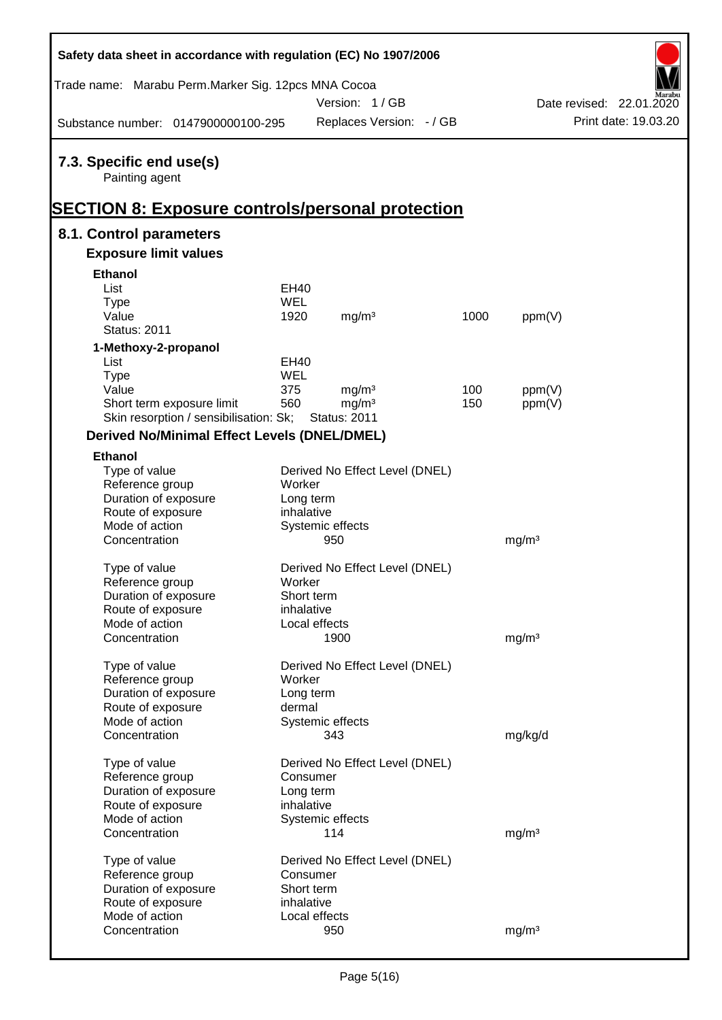| Safety data sheet in accordance with regulation (EC) No 1907/2006                                     |            |                                |      |                   |                          |
|-------------------------------------------------------------------------------------------------------|------------|--------------------------------|------|-------------------|--------------------------|
| Trade name: Marabu Perm.Marker Sig. 12pcs MNA Cocoa                                                   |            |                                |      |                   |                          |
|                                                                                                       |            | Version: 1/GB                  |      |                   | Date revised: 22.01.2020 |
| Substance number: 0147900000100-295                                                                   |            | Replaces Version: - / GB       |      |                   | Print date: 19.03.20     |
| 7.3. Specific end use(s)<br>Painting agent<br><b>SECTION 8: Exposure controls/personal protection</b> |            |                                |      |                   |                          |
| 8.1. Control parameters                                                                               |            |                                |      |                   |                          |
| <b>Exposure limit values</b>                                                                          |            |                                |      |                   |                          |
| <b>Ethanol</b>                                                                                        |            |                                |      |                   |                          |
| List                                                                                                  | EH40       |                                |      |                   |                          |
| <b>Type</b>                                                                                           | <b>WEL</b> |                                |      |                   |                          |
| Value                                                                                                 | 1920       | mg/m <sup>3</sup>              | 1000 | ppm(V)            |                          |
| <b>Status: 2011</b>                                                                                   |            |                                |      |                   |                          |
| 1-Methoxy-2-propanol                                                                                  |            |                                |      |                   |                          |
| List                                                                                                  | EH40       |                                |      |                   |                          |
| <b>Type</b>                                                                                           | <b>WEL</b> |                                |      |                   |                          |
| Value                                                                                                 | 375        | mg/m <sup>3</sup>              | 100  | ppm(V)            |                          |
| Short term exposure limit                                                                             | 560        | mg/m <sup>3</sup>              | 150  | ppm(V)            |                          |
| Skin resorption / sensibilisation: Sk;                                                                |            | <b>Status: 2011</b>            |      |                   |                          |
| <b>Derived No/Minimal Effect Levels (DNEL/DMEL)</b>                                                   |            |                                |      |                   |                          |
| <b>Ethanol</b>                                                                                        |            |                                |      |                   |                          |
| Type of value                                                                                         |            | Derived No Effect Level (DNEL) |      |                   |                          |
| Reference group                                                                                       | Worker     |                                |      |                   |                          |
| Duration of exposure                                                                                  | Long term  |                                |      |                   |                          |
| Route of exposure                                                                                     | inhalative |                                |      |                   |                          |
| Mode of action                                                                                        |            | Systemic effects               |      |                   |                          |
| Concentration                                                                                         |            | 950                            |      | mg/m <sup>3</sup> |                          |
| Type of value                                                                                         |            | Derived No Effect Level (DNEL) |      |                   |                          |
| Reference group                                                                                       | Worker     |                                |      |                   |                          |
| Duration of exposure                                                                                  | Short term |                                |      |                   |                          |
| Route of exposure                                                                                     | inhalative |                                |      |                   |                          |
| Mode of action                                                                                        |            | Local effects                  |      |                   |                          |
| Concentration                                                                                         |            | 1900                           |      | mg/m <sup>3</sup> |                          |
|                                                                                                       |            |                                |      |                   |                          |
| Type of value                                                                                         |            | Derived No Effect Level (DNEL) |      |                   |                          |
| Reference group                                                                                       | Worker     |                                |      |                   |                          |
| Duration of exposure                                                                                  | Long term  |                                |      |                   |                          |
| Route of exposure                                                                                     | dermal     |                                |      |                   |                          |
| Mode of action                                                                                        |            | Systemic effects               |      |                   |                          |
| Concentration                                                                                         |            | 343                            |      | mg/kg/d           |                          |
|                                                                                                       |            |                                |      |                   |                          |
| Type of value                                                                                         |            | Derived No Effect Level (DNEL) |      |                   |                          |
| Reference group                                                                                       | Consumer   |                                |      |                   |                          |
| Duration of exposure                                                                                  | Long term  |                                |      |                   |                          |
| Route of exposure                                                                                     | inhalative |                                |      |                   |                          |
| Mode of action                                                                                        |            | Systemic effects               |      |                   |                          |
| Concentration                                                                                         |            | 114                            |      | mg/m <sup>3</sup> |                          |
|                                                                                                       |            |                                |      |                   |                          |
| Type of value                                                                                         |            | Derived No Effect Level (DNEL) |      |                   |                          |
| Reference group                                                                                       | Consumer   |                                |      |                   |                          |
| Duration of exposure                                                                                  | Short term |                                |      |                   |                          |
| Route of exposure                                                                                     | inhalative |                                |      |                   |                          |
| Mode of action                                                                                        |            | Local effects                  |      |                   |                          |
| Concentration                                                                                         |            | 950                            |      | mg/m <sup>3</sup> |                          |

Ī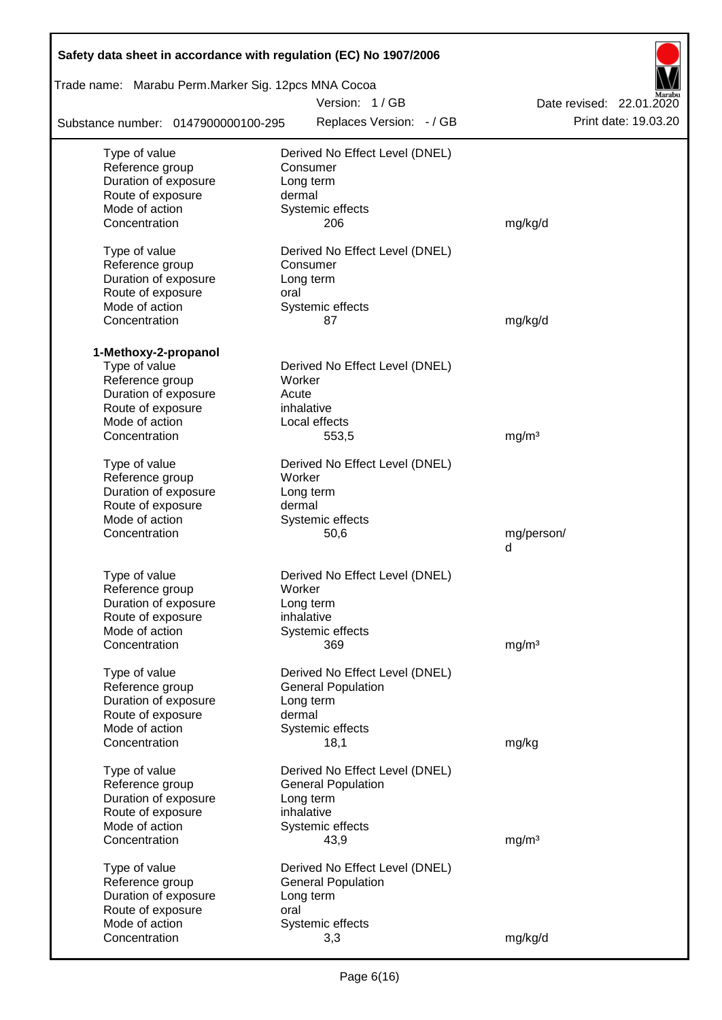| Safety data sheet in accordance with regulation (EC) No 1907/2006 |                                |                          |  |  |  |  |  |
|-------------------------------------------------------------------|--------------------------------|--------------------------|--|--|--|--|--|
| Trade name: Marabu Perm.Marker Sig. 12pcs MNA Cocoa               |                                |                          |  |  |  |  |  |
|                                                                   | Version: 1/GB                  | Date revised: 22.01.2020 |  |  |  |  |  |
| Substance number: 0147900000100-295                               | Replaces Version: - / GB       | Print date: 19.03.20     |  |  |  |  |  |
| Type of value                                                     | Derived No Effect Level (DNEL) |                          |  |  |  |  |  |
| Reference group                                                   | Consumer                       |                          |  |  |  |  |  |
| Duration of exposure                                              | Long term                      |                          |  |  |  |  |  |
| Route of exposure                                                 | dermal                         |                          |  |  |  |  |  |
| Mode of action<br>Concentration                                   | Systemic effects<br>206        | mg/kg/d                  |  |  |  |  |  |
|                                                                   |                                |                          |  |  |  |  |  |
| Type of value                                                     | Derived No Effect Level (DNEL) |                          |  |  |  |  |  |
| Reference group                                                   | Consumer                       |                          |  |  |  |  |  |
| Duration of exposure                                              | Long term                      |                          |  |  |  |  |  |
| Route of exposure                                                 | oral                           |                          |  |  |  |  |  |
| Mode of action                                                    | Systemic effects               |                          |  |  |  |  |  |
| Concentration                                                     | 87                             | mg/kg/d                  |  |  |  |  |  |
| 1-Methoxy-2-propanol                                              |                                |                          |  |  |  |  |  |
| Type of value                                                     | Derived No Effect Level (DNEL) |                          |  |  |  |  |  |
| Reference group                                                   | Worker                         |                          |  |  |  |  |  |
| Duration of exposure                                              | Acute                          |                          |  |  |  |  |  |
| Route of exposure                                                 | inhalative                     |                          |  |  |  |  |  |
| Mode of action                                                    | Local effects                  |                          |  |  |  |  |  |
| Concentration                                                     | 553,5                          | mg/m <sup>3</sup>        |  |  |  |  |  |
| Type of value                                                     | Derived No Effect Level (DNEL) |                          |  |  |  |  |  |
| Reference group                                                   | Worker                         |                          |  |  |  |  |  |
| Duration of exposure                                              | Long term                      |                          |  |  |  |  |  |
| Route of exposure                                                 | dermal                         |                          |  |  |  |  |  |
| Mode of action                                                    | Systemic effects               |                          |  |  |  |  |  |
| Concentration                                                     | 50,6                           | mg/person/               |  |  |  |  |  |
|                                                                   |                                | d                        |  |  |  |  |  |
| Type of value                                                     | Derived No Effect Level (DNEL) |                          |  |  |  |  |  |
| Reference group                                                   | Worker                         |                          |  |  |  |  |  |
| Duration of exposure                                              | Long term                      |                          |  |  |  |  |  |
| Route of exposure                                                 | inhalative                     |                          |  |  |  |  |  |
| Mode of action                                                    | Systemic effects               |                          |  |  |  |  |  |
| Concentration                                                     | 369                            | mg/m <sup>3</sup>        |  |  |  |  |  |
|                                                                   |                                |                          |  |  |  |  |  |
| Type of value                                                     | Derived No Effect Level (DNEL) |                          |  |  |  |  |  |
| Reference group                                                   | <b>General Population</b>      |                          |  |  |  |  |  |
| Duration of exposure                                              | Long term<br>dermal            |                          |  |  |  |  |  |
| Route of exposure<br>Mode of action                               | Systemic effects               |                          |  |  |  |  |  |
| Concentration                                                     | 18,1                           | mg/kg                    |  |  |  |  |  |
|                                                                   |                                |                          |  |  |  |  |  |
| Type of value                                                     | Derived No Effect Level (DNEL) |                          |  |  |  |  |  |
| Reference group                                                   | <b>General Population</b>      |                          |  |  |  |  |  |
| Duration of exposure                                              | Long term                      |                          |  |  |  |  |  |
| Route of exposure<br>Mode of action                               | inhalative                     |                          |  |  |  |  |  |
| Concentration                                                     | Systemic effects<br>43,9       | mg/m <sup>3</sup>        |  |  |  |  |  |
|                                                                   |                                |                          |  |  |  |  |  |
| Type of value                                                     | Derived No Effect Level (DNEL) |                          |  |  |  |  |  |
| Reference group                                                   | <b>General Population</b>      |                          |  |  |  |  |  |
| Duration of exposure                                              | Long term                      |                          |  |  |  |  |  |
| Route of exposure                                                 | oral                           |                          |  |  |  |  |  |
| Mode of action                                                    | Systemic effects               |                          |  |  |  |  |  |
| Concentration                                                     | 3,3                            | mg/kg/d                  |  |  |  |  |  |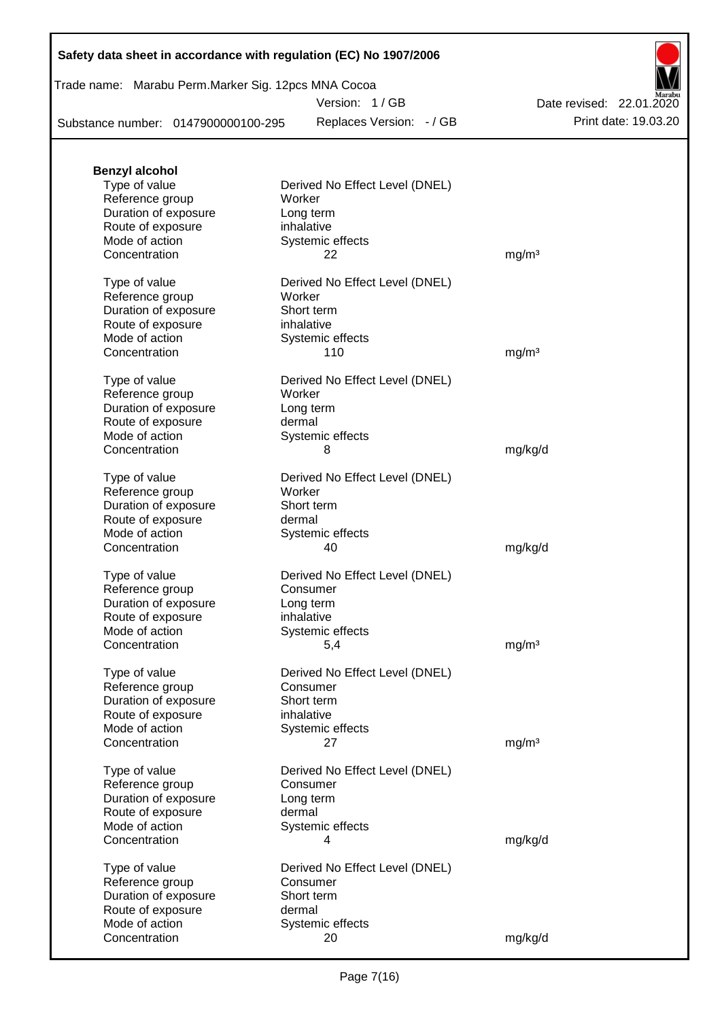|  | Safety data sheet in accordance with regulation (EC) No 1907/2006 |  |
|--|-------------------------------------------------------------------|--|
|--|-------------------------------------------------------------------|--|

| Trade name: Marabu Perm.Marker Sig. 12pcs MNA Cocoa |  |  |
|-----------------------------------------------------|--|--|
|                                                     |  |  |

Version: 1 / GB

Replaces Version:  $-$  / GB Print date: 19.03.20 Date revised: 22.01.2020

Substance number: 0147900000100-295

| <b>Benzyl alcohol</b>            |                                |                   |
|----------------------------------|--------------------------------|-------------------|
| Type of value                    | Derived No Effect Level (DNEL) |                   |
| Reference group                  | Worker                         |                   |
| Duration of exposure             | Long term                      |                   |
| Route of exposure                | inhalative                     |                   |
| Mode of action                   | Systemic effects               |                   |
| Concentration                    | 22                             | mg/m <sup>3</sup> |
|                                  |                                |                   |
| Type of value                    | Derived No Effect Level (DNEL) |                   |
| Reference group                  | Worker                         |                   |
| Duration of exposure             | Short term                     |                   |
| Route of exposure                | inhalative                     |                   |
| Mode of action                   | Systemic effects               |                   |
| Concentration                    | 110                            | mg/m <sup>3</sup> |
|                                  |                                |                   |
| Type of value                    | Derived No Effect Level (DNEL) |                   |
| Reference group                  | Worker                         |                   |
| Duration of exposure             | Long term                      |                   |
| Route of exposure                | dermal                         |                   |
| Mode of action                   | Systemic effects               |                   |
| Concentration                    | 8                              | mg/kg/d           |
|                                  |                                |                   |
| Type of value                    | Derived No Effect Level (DNEL) |                   |
| Reference group                  | Worker                         |                   |
| Duration of exposure             | Short term                     |                   |
| Route of exposure                | dermal                         |                   |
| Mode of action                   | Systemic effects               |                   |
| Concentration                    | 40                             | mg/kg/d           |
|                                  |                                |                   |
| Type of value                    | Derived No Effect Level (DNEL) |                   |
| Reference group                  | Consumer                       |                   |
| Duration of exposure             | Long term                      |                   |
| Route of exposure                | inhalative                     |                   |
| Mode of action                   | Systemic effects               |                   |
| Concentration                    | 5,4                            | mg/m <sup>3</sup> |
|                                  |                                |                   |
| Type of value                    | Derived No Effect Level (DNEL) |                   |
| Reference group                  | Consumer                       |                   |
| Duration of exposure             | Short term                     |                   |
| Route of exposure                | inhalative                     |                   |
| Mode of action                   | Systemic effects               |                   |
| Concentration                    | 27                             | mg/m <sup>3</sup> |
|                                  |                                |                   |
| Type of value                    | Derived No Effect Level (DNEL) |                   |
| Reference group                  | Consumer                       |                   |
| Duration of exposure             | Long term                      |                   |
| Route of exposure                | dermal                         |                   |
| Mode of action                   |                                |                   |
|                                  | Systemic effects               |                   |
| Concentration                    | 4                              | mg/kg/d           |
|                                  | Derived No Effect Level (DNEL) |                   |
| Type of value<br>Reference group | Consumer                       |                   |
| Duration of exposure             | Short term                     |                   |
| Route of exposure                | dermal                         |                   |
| Mode of action                   | Systemic effects               |                   |
| Concentration                    |                                |                   |
|                                  | 20                             | mg/kg/d           |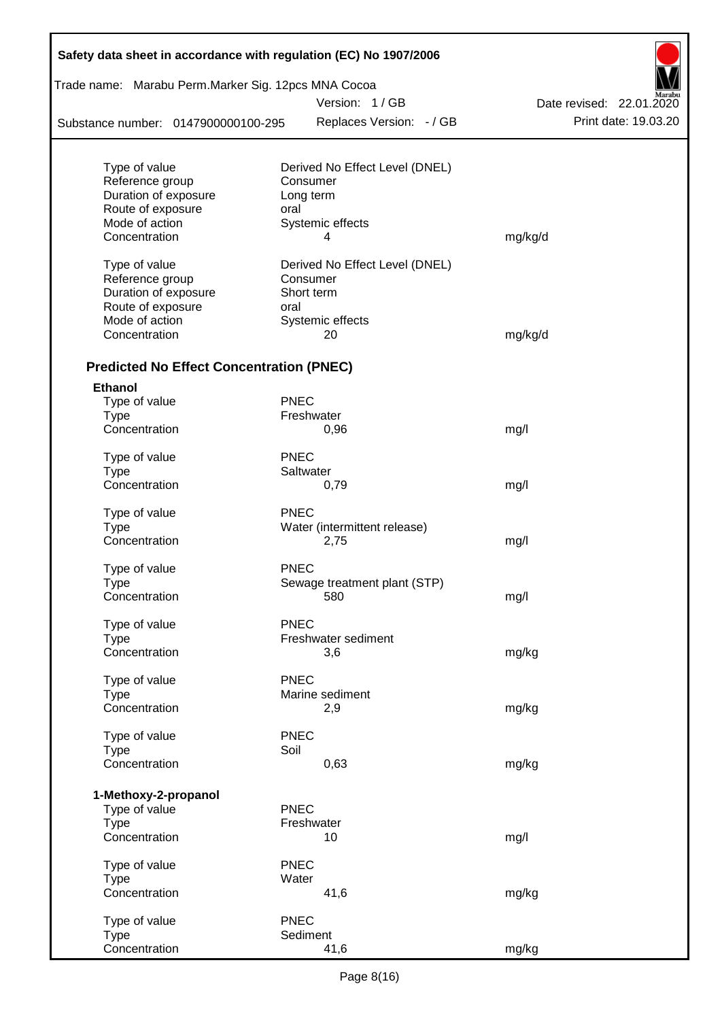| Safety data sheet in accordance with regulation (EC) No 1907/2006 |             |                                |                          |  |  |  |  |  |
|-------------------------------------------------------------------|-------------|--------------------------------|--------------------------|--|--|--|--|--|
| Trade name: Marabu Perm.Marker Sig. 12pcs MNA Cocoa               |             |                                |                          |  |  |  |  |  |
|                                                                   |             | Version: 1/GB                  | Date revised: 22.01.2020 |  |  |  |  |  |
| Substance number: 0147900000100-295                               |             | Replaces Version: - / GB       | Print date: 19.03.20     |  |  |  |  |  |
| Type of value                                                     |             | Derived No Effect Level (DNEL) |                          |  |  |  |  |  |
| Reference group                                                   |             | Consumer                       |                          |  |  |  |  |  |
| Duration of exposure                                              |             | Long term                      |                          |  |  |  |  |  |
| Route of exposure                                                 | oral        |                                |                          |  |  |  |  |  |
| Mode of action                                                    |             | Systemic effects               |                          |  |  |  |  |  |
| Concentration                                                     |             | 4                              | mg/kg/d                  |  |  |  |  |  |
| Type of value                                                     |             | Derived No Effect Level (DNEL) |                          |  |  |  |  |  |
| Reference group                                                   |             | Consumer                       |                          |  |  |  |  |  |
| Duration of exposure                                              |             | Short term                     |                          |  |  |  |  |  |
| Route of exposure                                                 | oral        |                                |                          |  |  |  |  |  |
| Mode of action                                                    |             | Systemic effects               |                          |  |  |  |  |  |
| Concentration                                                     |             | 20                             | mg/kg/d                  |  |  |  |  |  |
| <b>Predicted No Effect Concentration (PNEC)</b>                   |             |                                |                          |  |  |  |  |  |
| <b>Ethanol</b>                                                    |             |                                |                          |  |  |  |  |  |
| Type of value                                                     | <b>PNEC</b> |                                |                          |  |  |  |  |  |
| <b>Type</b>                                                       |             | Freshwater                     |                          |  |  |  |  |  |
| Concentration                                                     |             | 0,96                           | mg/l                     |  |  |  |  |  |
| Type of value                                                     | <b>PNEC</b> |                                |                          |  |  |  |  |  |
| <b>Type</b>                                                       |             | Saltwater                      |                          |  |  |  |  |  |
| Concentration                                                     |             | 0,79                           | mg/l                     |  |  |  |  |  |
| Type of value                                                     | PNEC        |                                |                          |  |  |  |  |  |
| <b>Type</b>                                                       |             | Water (intermittent release)   |                          |  |  |  |  |  |
| Concentration                                                     |             | 2,75                           | mg/l                     |  |  |  |  |  |
| Type of value                                                     | <b>PNEC</b> |                                |                          |  |  |  |  |  |
| Type                                                              |             | Sewage treatment plant (STP)   |                          |  |  |  |  |  |
| Concentration                                                     |             | 580                            | mg/l                     |  |  |  |  |  |
| Type of value                                                     | <b>PNEC</b> |                                |                          |  |  |  |  |  |
| Type                                                              |             | Freshwater sediment            |                          |  |  |  |  |  |
| Concentration                                                     |             | 3,6                            | mg/kg                    |  |  |  |  |  |
| Type of value                                                     | <b>PNEC</b> |                                |                          |  |  |  |  |  |
| <b>Type</b>                                                       |             | Marine sediment                |                          |  |  |  |  |  |
| Concentration                                                     |             | 2,9                            | mg/kg                    |  |  |  |  |  |
| Type of value                                                     | <b>PNEC</b> |                                |                          |  |  |  |  |  |
| <b>Type</b>                                                       | Soil        |                                |                          |  |  |  |  |  |
| Concentration                                                     |             | 0,63                           | mg/kg                    |  |  |  |  |  |
| 1-Methoxy-2-propanol                                              |             |                                |                          |  |  |  |  |  |
| Type of value                                                     | <b>PNEC</b> |                                |                          |  |  |  |  |  |
| <b>Type</b>                                                       |             | Freshwater                     |                          |  |  |  |  |  |
| Concentration                                                     |             | 10                             | mg/l                     |  |  |  |  |  |
| Type of value                                                     | <b>PNEC</b> |                                |                          |  |  |  |  |  |
| <b>Type</b>                                                       | Water       |                                |                          |  |  |  |  |  |
| Concentration                                                     |             | 41,6                           | mg/kg                    |  |  |  |  |  |
| Type of value                                                     | <b>PNEC</b> |                                |                          |  |  |  |  |  |
| <b>Type</b>                                                       |             | Sediment                       |                          |  |  |  |  |  |
| Concentration                                                     |             | 41,6                           | mg/kg                    |  |  |  |  |  |

Ī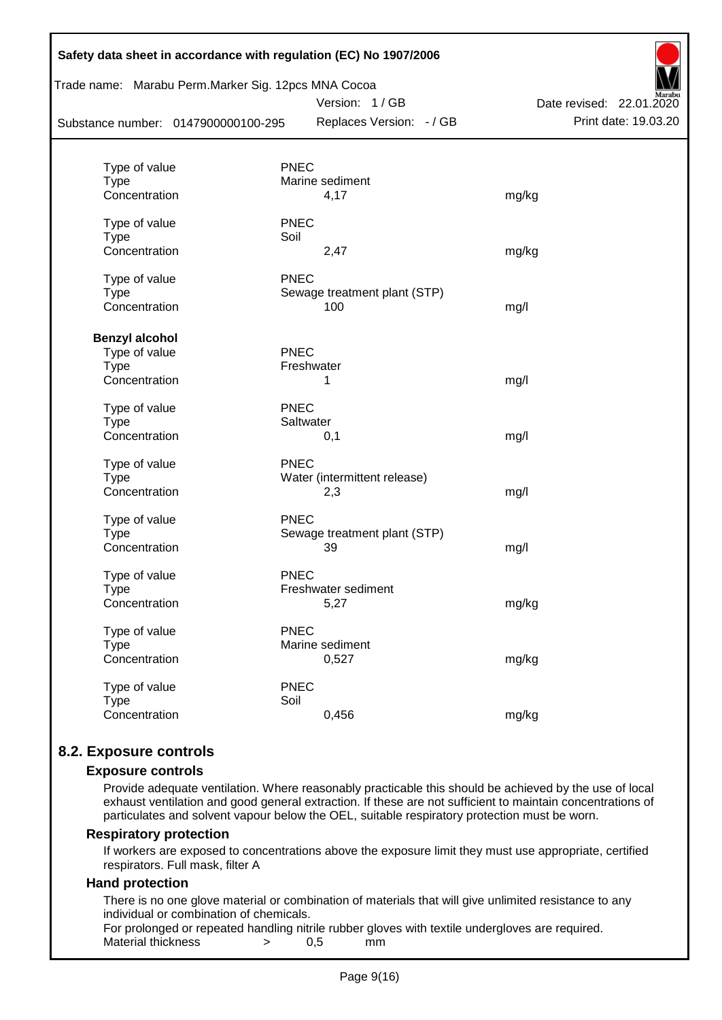| Safety data sheet in accordance with regulation (EC) No 1907/2006<br>Trade name: Marabu Perm.Marker Sig. 12pcs MNA Cocoa<br>Version: 1/GB<br>Date revised: 22.01.2020 |                              |                      |  |  |  |  |
|-----------------------------------------------------------------------------------------------------------------------------------------------------------------------|------------------------------|----------------------|--|--|--|--|
| Substance number: 0147900000100-295                                                                                                                                   | Replaces Version: - / GB     | Print date: 19.03.20 |  |  |  |  |
|                                                                                                                                                                       |                              |                      |  |  |  |  |
| Type of value                                                                                                                                                         | <b>PNEC</b>                  |                      |  |  |  |  |
| <b>Type</b>                                                                                                                                                           | Marine sediment              |                      |  |  |  |  |
| Concentration                                                                                                                                                         | 4,17                         | mg/kg                |  |  |  |  |
| Type of value                                                                                                                                                         | <b>PNEC</b>                  |                      |  |  |  |  |
| <b>Type</b>                                                                                                                                                           | Soil                         |                      |  |  |  |  |
| Concentration                                                                                                                                                         | 2,47                         | mg/kg                |  |  |  |  |
| Type of value                                                                                                                                                         | <b>PNEC</b>                  |                      |  |  |  |  |
| <b>Type</b>                                                                                                                                                           | Sewage treatment plant (STP) |                      |  |  |  |  |
| Concentration                                                                                                                                                         | 100                          | mg/l                 |  |  |  |  |
| <b>Benzyl alcohol</b>                                                                                                                                                 |                              |                      |  |  |  |  |
| Type of value                                                                                                                                                         | PNEC                         |                      |  |  |  |  |
| <b>Type</b>                                                                                                                                                           | Freshwater                   |                      |  |  |  |  |
| Concentration                                                                                                                                                         | 1                            | mg/l                 |  |  |  |  |
| Type of value                                                                                                                                                         | <b>PNEC</b>                  |                      |  |  |  |  |
| <b>Type</b>                                                                                                                                                           | Saltwater                    |                      |  |  |  |  |
| Concentration                                                                                                                                                         | 0,1                          | mg/l                 |  |  |  |  |
| Type of value                                                                                                                                                         | <b>PNEC</b>                  |                      |  |  |  |  |
| <b>Type</b>                                                                                                                                                           | Water (intermittent release) |                      |  |  |  |  |
| Concentration                                                                                                                                                         | 2,3                          | mg/l                 |  |  |  |  |
| Type of value                                                                                                                                                         | <b>PNEC</b>                  |                      |  |  |  |  |
| <b>Type</b>                                                                                                                                                           | Sewage treatment plant (STP) |                      |  |  |  |  |
| Concentration                                                                                                                                                         | 39                           | mg/l                 |  |  |  |  |
| Type of value                                                                                                                                                         | <b>PNEC</b>                  |                      |  |  |  |  |
| <b>Type</b>                                                                                                                                                           | Freshwater sediment          |                      |  |  |  |  |
| Concentration                                                                                                                                                         | 5,27                         | mg/kg                |  |  |  |  |
| Type of value                                                                                                                                                         | <b>PNEC</b>                  |                      |  |  |  |  |
| <b>Type</b>                                                                                                                                                           | Marine sediment              |                      |  |  |  |  |
| Concentration                                                                                                                                                         | 0,527                        | mg/kg                |  |  |  |  |
| Type of value                                                                                                                                                         | <b>PNEC</b>                  |                      |  |  |  |  |
| <b>Type</b>                                                                                                                                                           | Soil                         |                      |  |  |  |  |
| Concentration                                                                                                                                                         | 0,456                        | mg/kg                |  |  |  |  |
|                                                                                                                                                                       |                              |                      |  |  |  |  |

# **8.2. Exposure controls**

### **Exposure controls**

Provide adequate ventilation. Where reasonably practicable this should be achieved by the use of local exhaust ventilation and good general extraction. If these are not sufficient to maintain concentrations of particulates and solvent vapour below the OEL, suitable respiratory protection must be worn.

### **Respiratory protection**

If workers are exposed to concentrations above the exposure limit they must use appropriate, certified respirators. Full mask, filter A

### **Hand protection**

There is no one glove material or combination of materials that will give unlimited resistance to any individual or combination of chemicals.

For prolonged or repeated handling nitrile rubber gloves with textile undergloves are required. Material thickness  $\rightarrow$  0,5 mm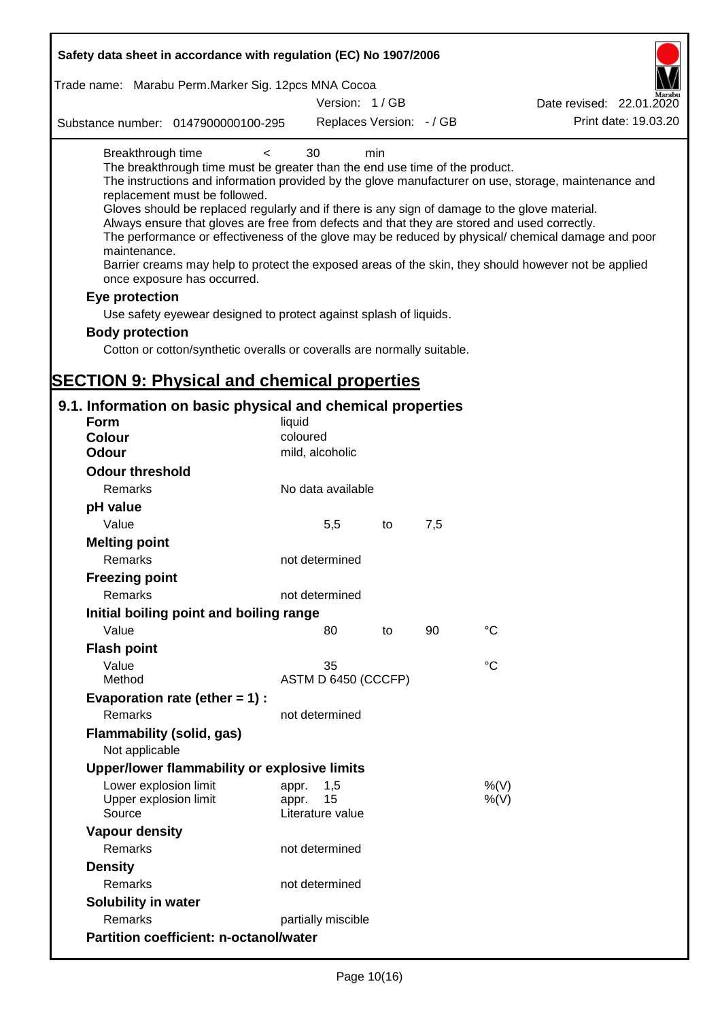| Safety data sheet in accordance with regulation (EC) No 1907/2006                                                                                                                                                                                                                                                                                                                                                                                                                   |                                 |     |     |                                                                                                                                                                                                                                                                                                                    |
|-------------------------------------------------------------------------------------------------------------------------------------------------------------------------------------------------------------------------------------------------------------------------------------------------------------------------------------------------------------------------------------------------------------------------------------------------------------------------------------|---------------------------------|-----|-----|--------------------------------------------------------------------------------------------------------------------------------------------------------------------------------------------------------------------------------------------------------------------------------------------------------------------|
| Trade name: Marabu Perm.Marker Sig. 12pcs MNA Cocoa                                                                                                                                                                                                                                                                                                                                                                                                                                 |                                 |     |     |                                                                                                                                                                                                                                                                                                                    |
|                                                                                                                                                                                                                                                                                                                                                                                                                                                                                     | Version: 1/GB                   |     |     | Date revised: 22.01.2020                                                                                                                                                                                                                                                                                           |
| Substance number: 0147900000100-295                                                                                                                                                                                                                                                                                                                                                                                                                                                 | Replaces Version: - / GB        |     |     | Print date: 19.03.20                                                                                                                                                                                                                                                                                               |
| Breakthrough time<br>$\,<\,$<br>The breakthrough time must be greater than the end use time of the product.<br>replacement must be followed.<br>Gloves should be replaced regularly and if there is any sign of damage to the glove material.<br>Always ensure that gloves are free from defects and that they are stored and used correctly.<br>maintenance.<br>once exposure has occurred.<br>Eye protection<br>Use safety eyewear designed to protect against splash of liquids. | 30                              | min |     | The instructions and information provided by the glove manufacturer on use, storage, maintenance and<br>The performance or effectiveness of the glove may be reduced by physical/ chemical damage and poor<br>Barrier creams may help to protect the exposed areas of the skin, they should however not be applied |
| <b>Body protection</b>                                                                                                                                                                                                                                                                                                                                                                                                                                                              |                                 |     |     |                                                                                                                                                                                                                                                                                                                    |
| Cotton or cotton/synthetic overalls or coveralls are normally suitable.                                                                                                                                                                                                                                                                                                                                                                                                             |                                 |     |     |                                                                                                                                                                                                                                                                                                                    |
|                                                                                                                                                                                                                                                                                                                                                                                                                                                                                     |                                 |     |     |                                                                                                                                                                                                                                                                                                                    |
| <b>SECTION 9: Physical and chemical properties</b>                                                                                                                                                                                                                                                                                                                                                                                                                                  |                                 |     |     |                                                                                                                                                                                                                                                                                                                    |
| 9.1. Information on basic physical and chemical properties                                                                                                                                                                                                                                                                                                                                                                                                                          |                                 |     |     |                                                                                                                                                                                                                                                                                                                    |
| <b>Form</b>                                                                                                                                                                                                                                                                                                                                                                                                                                                                         | liquid                          |     |     |                                                                                                                                                                                                                                                                                                                    |
| <b>Colour</b>                                                                                                                                                                                                                                                                                                                                                                                                                                                                       | coloured                        |     |     |                                                                                                                                                                                                                                                                                                                    |
| <b>Odour</b>                                                                                                                                                                                                                                                                                                                                                                                                                                                                        | mild, alcoholic                 |     |     |                                                                                                                                                                                                                                                                                                                    |
| <b>Odour threshold</b>                                                                                                                                                                                                                                                                                                                                                                                                                                                              |                                 |     |     |                                                                                                                                                                                                                                                                                                                    |
| Remarks                                                                                                                                                                                                                                                                                                                                                                                                                                                                             | No data available               |     |     |                                                                                                                                                                                                                                                                                                                    |
| pH value                                                                                                                                                                                                                                                                                                                                                                                                                                                                            |                                 |     |     |                                                                                                                                                                                                                                                                                                                    |
| Value                                                                                                                                                                                                                                                                                                                                                                                                                                                                               | 5,5                             | to  | 7,5 |                                                                                                                                                                                                                                                                                                                    |
| <b>Melting point</b><br><b>Remarks</b>                                                                                                                                                                                                                                                                                                                                                                                                                                              | not determined                  |     |     |                                                                                                                                                                                                                                                                                                                    |
| <b>Freezing point</b>                                                                                                                                                                                                                                                                                                                                                                                                                                                               |                                 |     |     |                                                                                                                                                                                                                                                                                                                    |
| Remarks                                                                                                                                                                                                                                                                                                                                                                                                                                                                             | not determined                  |     |     |                                                                                                                                                                                                                                                                                                                    |
| Initial boiling point and boiling range                                                                                                                                                                                                                                                                                                                                                                                                                                             |                                 |     |     |                                                                                                                                                                                                                                                                                                                    |
| Value                                                                                                                                                                                                                                                                                                                                                                                                                                                                               | 80                              | to  | 90  | $\rm ^{\circ}C$                                                                                                                                                                                                                                                                                                    |
| <b>Flash point</b>                                                                                                                                                                                                                                                                                                                                                                                                                                                                  |                                 |     |     |                                                                                                                                                                                                                                                                                                                    |
| Value                                                                                                                                                                                                                                                                                                                                                                                                                                                                               | 35                              |     |     | °C                                                                                                                                                                                                                                                                                                                 |
| Method                                                                                                                                                                                                                                                                                                                                                                                                                                                                              | ASTM D 6450 (CCCFP)             |     |     |                                                                                                                                                                                                                                                                                                                    |
| Evaporation rate (ether $= 1$ ) :                                                                                                                                                                                                                                                                                                                                                                                                                                                   |                                 |     |     |                                                                                                                                                                                                                                                                                                                    |
| Remarks                                                                                                                                                                                                                                                                                                                                                                                                                                                                             | not determined                  |     |     |                                                                                                                                                                                                                                                                                                                    |
| Flammability (solid, gas)<br>Not applicable                                                                                                                                                                                                                                                                                                                                                                                                                                         |                                 |     |     |                                                                                                                                                                                                                                                                                                                    |
| Upper/lower flammability or explosive limits                                                                                                                                                                                                                                                                                                                                                                                                                                        |                                 |     |     |                                                                                                                                                                                                                                                                                                                    |
| Lower explosion limit                                                                                                                                                                                                                                                                                                                                                                                                                                                               | 1,5<br>appr.                    |     |     | %(V)                                                                                                                                                                                                                                                                                                               |
| Upper explosion limit<br>Source                                                                                                                                                                                                                                                                                                                                                                                                                                                     | 15<br>appr.<br>Literature value |     |     | %(V)                                                                                                                                                                                                                                                                                                               |
| <b>Vapour density</b>                                                                                                                                                                                                                                                                                                                                                                                                                                                               |                                 |     |     |                                                                                                                                                                                                                                                                                                                    |
| Remarks                                                                                                                                                                                                                                                                                                                                                                                                                                                                             | not determined                  |     |     |                                                                                                                                                                                                                                                                                                                    |
| <b>Density</b>                                                                                                                                                                                                                                                                                                                                                                                                                                                                      |                                 |     |     |                                                                                                                                                                                                                                                                                                                    |
| Remarks                                                                                                                                                                                                                                                                                                                                                                                                                                                                             | not determined                  |     |     |                                                                                                                                                                                                                                                                                                                    |
| Solubility in water                                                                                                                                                                                                                                                                                                                                                                                                                                                                 |                                 |     |     |                                                                                                                                                                                                                                                                                                                    |
| Remarks                                                                                                                                                                                                                                                                                                                                                                                                                                                                             | partially miscible              |     |     |                                                                                                                                                                                                                                                                                                                    |
| <b>Partition coefficient: n-octanol/water</b>                                                                                                                                                                                                                                                                                                                                                                                                                                       |                                 |     |     |                                                                                                                                                                                                                                                                                                                    |
|                                                                                                                                                                                                                                                                                                                                                                                                                                                                                     |                                 |     |     |                                                                                                                                                                                                                                                                                                                    |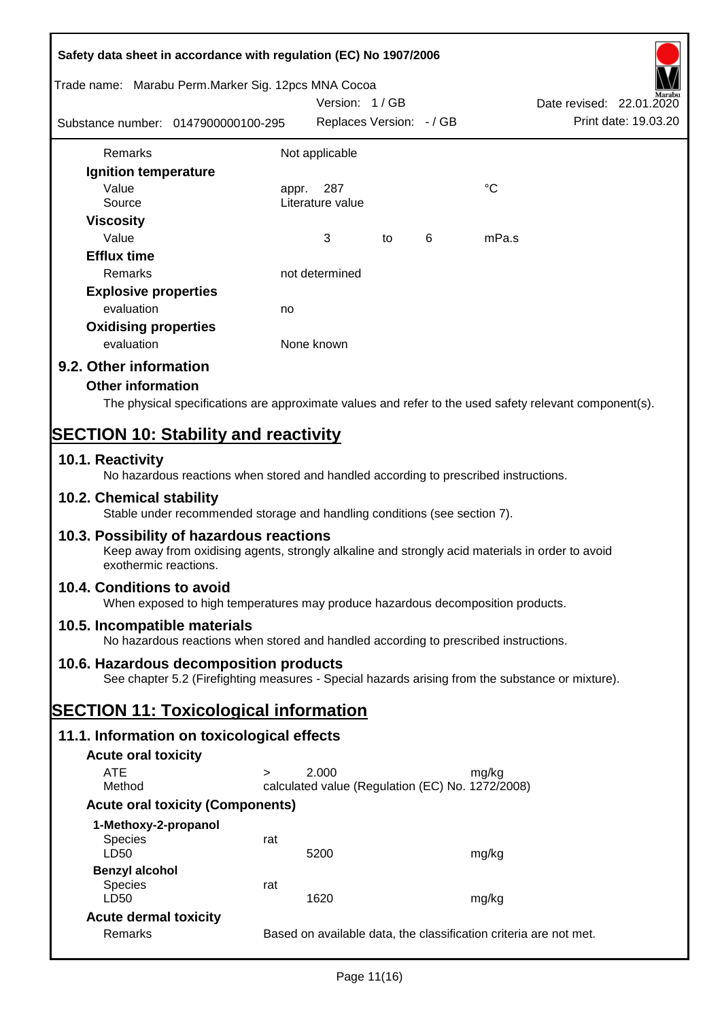| Safety data sheet in accordance with regulation (EC) No 1907/2006 |                                                                                      |                                                  |    |   |                                                                                                        |  |
|-------------------------------------------------------------------|--------------------------------------------------------------------------------------|--------------------------------------------------|----|---|--------------------------------------------------------------------------------------------------------|--|
| Trade name: Marabu Perm. Marker Sig. 12pcs MNA Cocoa              |                                                                                      | Version: 1/GB                                    |    |   | Date revised: 22.01.2020                                                                               |  |
| Substance number: 0147900000100-295                               |                                                                                      | Replaces Version: - / GB                         |    |   | Print date: 19.03.20                                                                                   |  |
| Remarks                                                           |                                                                                      |                                                  |    |   |                                                                                                        |  |
|                                                                   |                                                                                      | Not applicable                                   |    |   |                                                                                                        |  |
| Ignition temperature<br>Value                                     |                                                                                      |                                                  |    |   | $^{\circ}C$                                                                                            |  |
| Source                                                            |                                                                                      | 287<br>appr.<br>Literature value                 |    |   |                                                                                                        |  |
| <b>Viscosity</b>                                                  |                                                                                      |                                                  |    |   |                                                                                                        |  |
| Value                                                             |                                                                                      | 3                                                | to | 6 | mPa.s                                                                                                  |  |
| <b>Efflux time</b>                                                |                                                                                      |                                                  |    |   |                                                                                                        |  |
| Remarks                                                           |                                                                                      | not determined                                   |    |   |                                                                                                        |  |
| <b>Explosive properties</b>                                       |                                                                                      |                                                  |    |   |                                                                                                        |  |
| evaluation                                                        | no                                                                                   |                                                  |    |   |                                                                                                        |  |
| <b>Oxidising properties</b>                                       |                                                                                      |                                                  |    |   |                                                                                                        |  |
| evaluation                                                        |                                                                                      | None known                                       |    |   |                                                                                                        |  |
| 9.2. Other information                                            |                                                                                      |                                                  |    |   |                                                                                                        |  |
| <b>Other information</b>                                          |                                                                                      |                                                  |    |   |                                                                                                        |  |
|                                                                   |                                                                                      |                                                  |    |   | The physical specifications are approximate values and refer to the used safety relevant component(s). |  |
|                                                                   |                                                                                      |                                                  |    |   |                                                                                                        |  |
| <b>SECTION 10: Stability and reactivity</b>                       |                                                                                      |                                                  |    |   |                                                                                                        |  |
| 10.1. Reactivity                                                  | No hazardous reactions when stored and handled according to prescribed instructions. |                                                  |    |   |                                                                                                        |  |
| 10.2. Chemical stability                                          | Stable under recommended storage and handling conditions (see section 7).            |                                                  |    |   |                                                                                                        |  |
| 10.3. Possibility of hazardous reactions<br>exothermic reactions. |                                                                                      |                                                  |    |   | Keep away from oxidising agents, strongly alkaline and strongly acid materials in order to avoid       |  |
| 10.4. Conditions to avoid                                         | When exposed to high temperatures may produce hazardous decomposition products.      |                                                  |    |   |                                                                                                        |  |
| 10.5. Incompatible materials                                      | No hazardous reactions when stored and handled according to prescribed instructions. |                                                  |    |   |                                                                                                        |  |
| 10.6. Hazardous decomposition products                            |                                                                                      |                                                  |    |   | See chapter 5.2 (Firefighting measures - Special hazards arising from the substance or mixture).       |  |
| <b>SECTION 11: Toxicological information</b>                      |                                                                                      |                                                  |    |   |                                                                                                        |  |
| 11.1. Information on toxicological effects                        |                                                                                      |                                                  |    |   |                                                                                                        |  |
| <b>Acute oral toxicity</b>                                        |                                                                                      |                                                  |    |   |                                                                                                        |  |
| <b>ATE</b>                                                        | $\geq$                                                                               | 2.000                                            |    |   | mg/kg                                                                                                  |  |
| Method                                                            |                                                                                      | calculated value (Regulation (EC) No. 1272/2008) |    |   |                                                                                                        |  |
|                                                                   | <b>Acute oral toxicity (Components)</b>                                              |                                                  |    |   |                                                                                                        |  |
| 1-Methoxy-2-propanol                                              |                                                                                      |                                                  |    |   |                                                                                                        |  |
| <b>Species</b><br>LD50                                            | rat                                                                                  | 5200                                             |    |   | mg/kg                                                                                                  |  |
| <b>Benzyl alcohol</b>                                             |                                                                                      |                                                  |    |   |                                                                                                        |  |
| Species                                                           | rat                                                                                  |                                                  |    |   |                                                                                                        |  |
| LD50                                                              |                                                                                      | 1620                                             |    |   | mg/kg                                                                                                  |  |
| <b>Acute dermal toxicity</b>                                      |                                                                                      |                                                  |    |   |                                                                                                        |  |
| Remarks                                                           |                                                                                      |                                                  |    |   | Based on available data, the classification criteria are not met.                                      |  |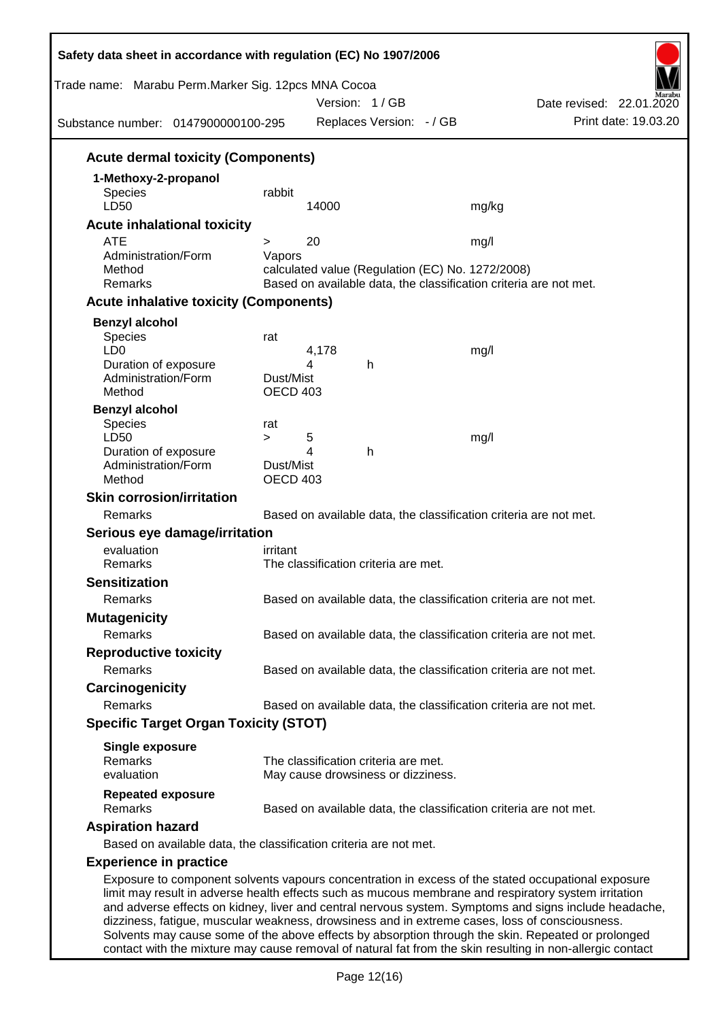| Trade name: Marabu Perm.Marker Sig. 12pcs MNA Cocoa<br>Substance number: 0147900000100-295 |                  | Version: 1/GB<br>Replaces Version: - / GB                         |       | Date revised: 22.01.2020<br>Print date: 19.03.20                                                                                                                                                                                                                                                                    |
|--------------------------------------------------------------------------------------------|------------------|-------------------------------------------------------------------|-------|---------------------------------------------------------------------------------------------------------------------------------------------------------------------------------------------------------------------------------------------------------------------------------------------------------------------|
| <b>Acute dermal toxicity (Components)</b>                                                  |                  |                                                                   |       |                                                                                                                                                                                                                                                                                                                     |
| 1-Methoxy-2-propanol                                                                       |                  |                                                                   |       |                                                                                                                                                                                                                                                                                                                     |
| <b>Species</b>                                                                             | rabbit           |                                                                   |       |                                                                                                                                                                                                                                                                                                                     |
| LD50                                                                                       |                  | 14000                                                             | mg/kg |                                                                                                                                                                                                                                                                                                                     |
| <b>Acute inhalational toxicity</b>                                                         |                  |                                                                   |       |                                                                                                                                                                                                                                                                                                                     |
| <b>ATE</b><br>Administration/Form                                                          | $\geq$<br>Vapors | 20                                                                | mg/l  |                                                                                                                                                                                                                                                                                                                     |
| Method                                                                                     |                  | calculated value (Regulation (EC) No. 1272/2008)                  |       |                                                                                                                                                                                                                                                                                                                     |
| Remarks                                                                                    |                  | Based on available data, the classification criteria are not met. |       |                                                                                                                                                                                                                                                                                                                     |
| <b>Acute inhalative toxicity (Components)</b>                                              |                  |                                                                   |       |                                                                                                                                                                                                                                                                                                                     |
| <b>Benzyl alcohol</b>                                                                      |                  |                                                                   |       |                                                                                                                                                                                                                                                                                                                     |
| <b>Species</b>                                                                             | rat              |                                                                   |       |                                                                                                                                                                                                                                                                                                                     |
| LD <sub>0</sub>                                                                            |                  | 4,178<br>4                                                        | mg/l  |                                                                                                                                                                                                                                                                                                                     |
| Duration of exposure<br>Administration/Form                                                | Dust/Mist        | h                                                                 |       |                                                                                                                                                                                                                                                                                                                     |
| Method                                                                                     | OECD 403         |                                                                   |       |                                                                                                                                                                                                                                                                                                                     |
| <b>Benzyl alcohol</b>                                                                      |                  |                                                                   |       |                                                                                                                                                                                                                                                                                                                     |
| Species                                                                                    | rat              |                                                                   |       |                                                                                                                                                                                                                                                                                                                     |
| LD50<br>Duration of exposure                                                               | $\geq$           | 5<br>4<br>h                                                       | mg/l  |                                                                                                                                                                                                                                                                                                                     |
| Administration/Form                                                                        | Dust/Mist        |                                                                   |       |                                                                                                                                                                                                                                                                                                                     |
| Method                                                                                     | <b>OECD 403</b>  |                                                                   |       |                                                                                                                                                                                                                                                                                                                     |
| <b>Skin corrosion/irritation</b>                                                           |                  |                                                                   |       |                                                                                                                                                                                                                                                                                                                     |
| Remarks                                                                                    |                  | Based on available data, the classification criteria are not met. |       |                                                                                                                                                                                                                                                                                                                     |
| Serious eye damage/irritation                                                              |                  |                                                                   |       |                                                                                                                                                                                                                                                                                                                     |
| evaluation                                                                                 | irritant         |                                                                   |       |                                                                                                                                                                                                                                                                                                                     |
| Remarks                                                                                    |                  | The classification criteria are met.                              |       |                                                                                                                                                                                                                                                                                                                     |
| <b>Sensitization</b>                                                                       |                  |                                                                   |       |                                                                                                                                                                                                                                                                                                                     |
| Remarks                                                                                    |                  | Based on available data, the classification criteria are not met. |       |                                                                                                                                                                                                                                                                                                                     |
| <b>Mutagenicity</b>                                                                        |                  |                                                                   |       |                                                                                                                                                                                                                                                                                                                     |
| Remarks                                                                                    |                  | Based on available data, the classification criteria are not met. |       |                                                                                                                                                                                                                                                                                                                     |
| <b>Reproductive toxicity</b>                                                               |                  |                                                                   |       |                                                                                                                                                                                                                                                                                                                     |
| Remarks                                                                                    |                  | Based on available data, the classification criteria are not met. |       |                                                                                                                                                                                                                                                                                                                     |
| Carcinogenicity                                                                            |                  |                                                                   |       |                                                                                                                                                                                                                                                                                                                     |
| Remarks                                                                                    |                  | Based on available data, the classification criteria are not met. |       |                                                                                                                                                                                                                                                                                                                     |
| <b>Specific Target Organ Toxicity (STOT)</b>                                               |                  |                                                                   |       |                                                                                                                                                                                                                                                                                                                     |
| <b>Single exposure</b>                                                                     |                  |                                                                   |       |                                                                                                                                                                                                                                                                                                                     |
| Remarks                                                                                    |                  | The classification criteria are met.                              |       |                                                                                                                                                                                                                                                                                                                     |
| evaluation                                                                                 |                  | May cause drowsiness or dizziness.                                |       |                                                                                                                                                                                                                                                                                                                     |
| <b>Repeated exposure</b><br>Remarks                                                        |                  | Based on available data, the classification criteria are not met. |       |                                                                                                                                                                                                                                                                                                                     |
| <b>Aspiration hazard</b>                                                                   |                  |                                                                   |       |                                                                                                                                                                                                                                                                                                                     |
| Based on available data, the classification criteria are not met.                          |                  |                                                                   |       |                                                                                                                                                                                                                                                                                                                     |
| <b>Experience in practice</b>                                                              |                  |                                                                   |       |                                                                                                                                                                                                                                                                                                                     |
|                                                                                            |                  |                                                                   |       | Exposure to component solvents vapours concentration in excess of the stated occupational exposure<br>limit may result in adverse health effects such as mucous membrane and respiratory system irritation<br>and adverse effects on kidney, liver and central nervous system. Symptoms and signs include headache, |

contact with the mixture may cause removal of natural fat from the skin resulting in non-allergic contact

Solvents may cause some of the above effects by absorption through the skin. Repeated or prolonged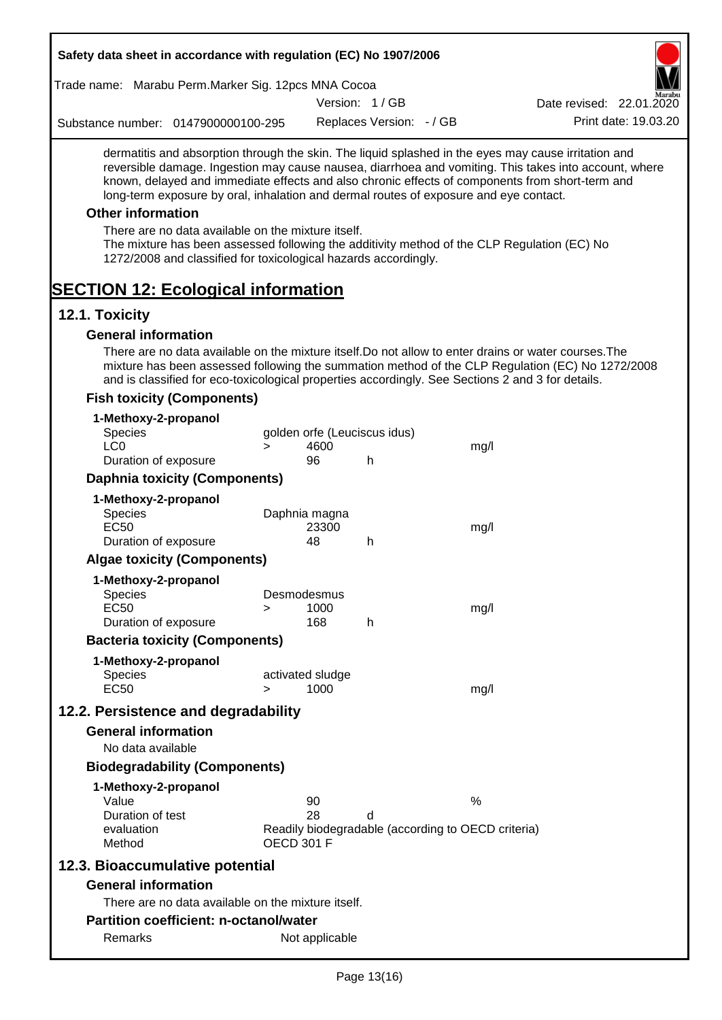| Safety data sheet in accordance with regulation (EC) No 1907/2006                                                                                                                                                                                                                                                                                                                      |        |                          |                              |                                                    |                                                                                                                                                                                                                                                                                                                  |
|----------------------------------------------------------------------------------------------------------------------------------------------------------------------------------------------------------------------------------------------------------------------------------------------------------------------------------------------------------------------------------------|--------|--------------------------|------------------------------|----------------------------------------------------|------------------------------------------------------------------------------------------------------------------------------------------------------------------------------------------------------------------------------------------------------------------------------------------------------------------|
| Trade name: Marabu Perm.Marker Sig. 12pcs MNA Cocoa                                                                                                                                                                                                                                                                                                                                    |        |                          |                              |                                                    |                                                                                                                                                                                                                                                                                                                  |
|                                                                                                                                                                                                                                                                                                                                                                                        |        |                          | Version: 1/GB                |                                                    | Date revised: 22.01.2020                                                                                                                                                                                                                                                                                         |
| Substance number: 0147900000100-295                                                                                                                                                                                                                                                                                                                                                    |        |                          | Replaces Version: - / GB     |                                                    | Print date: 19.03.20                                                                                                                                                                                                                                                                                             |
| long-term exposure by oral, inhalation and dermal routes of exposure and eye contact.<br><b>Other information</b><br>There are no data available on the mixture itself.<br>The mixture has been assessed following the additivity method of the CLP Regulation (EC) No<br>1272/2008 and classified for toxicological hazards accordingly.<br><b>SECTION 12: Ecological information</b> |        |                          |                              |                                                    | dermatitis and absorption through the skin. The liquid splashed in the eyes may cause irritation and<br>reversible damage. Ingestion may cause nausea, diarrhoea and vomiting. This takes into account, where<br>known, delayed and immediate effects and also chronic effects of components from short-term and |
| 12.1. Toxicity                                                                                                                                                                                                                                                                                                                                                                         |        |                          |                              |                                                    |                                                                                                                                                                                                                                                                                                                  |
| <b>General information</b>                                                                                                                                                                                                                                                                                                                                                             |        |                          |                              |                                                    |                                                                                                                                                                                                                                                                                                                  |
| There are no data available on the mixture itself. Do not allow to enter drains or water courses. The<br>and is classified for eco-toxicological properties accordingly. See Sections 2 and 3 for details.<br><b>Fish toxicity (Components)</b>                                                                                                                                        |        |                          |                              |                                                    | mixture has been assessed following the summation method of the CLP Regulation (EC) No 1272/2008                                                                                                                                                                                                                 |
|                                                                                                                                                                                                                                                                                                                                                                                        |        |                          |                              |                                                    |                                                                                                                                                                                                                                                                                                                  |
| 1-Methoxy-2-propanol<br>Species                                                                                                                                                                                                                                                                                                                                                        |        |                          | golden orfe (Leuciscus idus) |                                                    |                                                                                                                                                                                                                                                                                                                  |
| LC <sub>0</sub>                                                                                                                                                                                                                                                                                                                                                                        | $\geq$ | 4600                     |                              | mg/l                                               |                                                                                                                                                                                                                                                                                                                  |
| Duration of exposure                                                                                                                                                                                                                                                                                                                                                                   |        | 96                       | h                            |                                                    |                                                                                                                                                                                                                                                                                                                  |
| <b>Daphnia toxicity (Components)</b>                                                                                                                                                                                                                                                                                                                                                   |        |                          |                              |                                                    |                                                                                                                                                                                                                                                                                                                  |
| 1-Methoxy-2-propanol                                                                                                                                                                                                                                                                                                                                                                   |        |                          |                              |                                                    |                                                                                                                                                                                                                                                                                                                  |
| <b>Species</b>                                                                                                                                                                                                                                                                                                                                                                         |        | Daphnia magna            |                              |                                                    |                                                                                                                                                                                                                                                                                                                  |
| <b>EC50</b><br>Duration of exposure                                                                                                                                                                                                                                                                                                                                                    |        | 23300<br>48              | h                            | mg/l                                               |                                                                                                                                                                                                                                                                                                                  |
| <b>Algae toxicity (Components)</b>                                                                                                                                                                                                                                                                                                                                                     |        |                          |                              |                                                    |                                                                                                                                                                                                                                                                                                                  |
| 1-Methoxy-2-propanol                                                                                                                                                                                                                                                                                                                                                                   |        |                          |                              |                                                    |                                                                                                                                                                                                                                                                                                                  |
| <b>Species</b>                                                                                                                                                                                                                                                                                                                                                                         |        | Desmodesmus              |                              |                                                    |                                                                                                                                                                                                                                                                                                                  |
| <b>EC50</b>                                                                                                                                                                                                                                                                                                                                                                            | $\geq$ | 1000                     |                              | mg/l                                               |                                                                                                                                                                                                                                                                                                                  |
| Duration of exposure                                                                                                                                                                                                                                                                                                                                                                   |        | 168                      | h                            |                                                    |                                                                                                                                                                                                                                                                                                                  |
| <b>Bacteria toxicity (Components)</b>                                                                                                                                                                                                                                                                                                                                                  |        |                          |                              |                                                    |                                                                                                                                                                                                                                                                                                                  |
| 1-Methoxy-2-propanol                                                                                                                                                                                                                                                                                                                                                                   |        |                          |                              |                                                    |                                                                                                                                                                                                                                                                                                                  |
| <b>Species</b><br><b>EC50</b>                                                                                                                                                                                                                                                                                                                                                          |        | activated sludge<br>1000 |                              |                                                    |                                                                                                                                                                                                                                                                                                                  |
|                                                                                                                                                                                                                                                                                                                                                                                        | $\geq$ |                          |                              | mg/l                                               |                                                                                                                                                                                                                                                                                                                  |
| 12.2. Persistence and degradability                                                                                                                                                                                                                                                                                                                                                    |        |                          |                              |                                                    |                                                                                                                                                                                                                                                                                                                  |
| <b>General information</b>                                                                                                                                                                                                                                                                                                                                                             |        |                          |                              |                                                    |                                                                                                                                                                                                                                                                                                                  |
| No data available                                                                                                                                                                                                                                                                                                                                                                      |        |                          |                              |                                                    |                                                                                                                                                                                                                                                                                                                  |
| <b>Biodegradability (Components)</b>                                                                                                                                                                                                                                                                                                                                                   |        |                          |                              |                                                    |                                                                                                                                                                                                                                                                                                                  |
| 1-Methoxy-2-propanol                                                                                                                                                                                                                                                                                                                                                                   |        |                          |                              |                                                    |                                                                                                                                                                                                                                                                                                                  |
| Value<br>Duration of test                                                                                                                                                                                                                                                                                                                                                              |        | 90<br>28                 | d                            | $\%$                                               |                                                                                                                                                                                                                                                                                                                  |
| evaluation<br>Method                                                                                                                                                                                                                                                                                                                                                                   |        | <b>OECD 301 F</b>        |                              | Readily biodegradable (according to OECD criteria) |                                                                                                                                                                                                                                                                                                                  |
| 12.3. Bioaccumulative potential                                                                                                                                                                                                                                                                                                                                                        |        |                          |                              |                                                    |                                                                                                                                                                                                                                                                                                                  |
| <b>General information</b>                                                                                                                                                                                                                                                                                                                                                             |        |                          |                              |                                                    |                                                                                                                                                                                                                                                                                                                  |
| There are no data available on the mixture itself.                                                                                                                                                                                                                                                                                                                                     |        |                          |                              |                                                    |                                                                                                                                                                                                                                                                                                                  |
| <b>Partition coefficient: n-octanol/water</b>                                                                                                                                                                                                                                                                                                                                          |        |                          |                              |                                                    |                                                                                                                                                                                                                                                                                                                  |
| Remarks                                                                                                                                                                                                                                                                                                                                                                                |        | Not applicable           |                              |                                                    |                                                                                                                                                                                                                                                                                                                  |
|                                                                                                                                                                                                                                                                                                                                                                                        |        |                          |                              |                                                    |                                                                                                                                                                                                                                                                                                                  |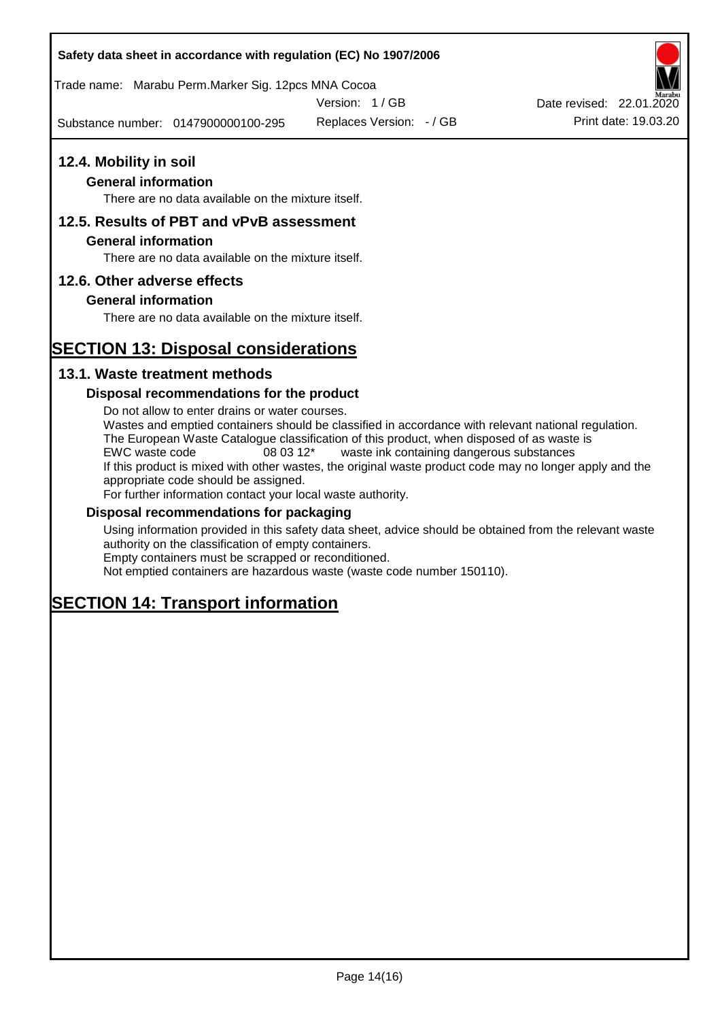### **Safety data sheet in accordance with regulation (EC) No 1907/2006**

Trade name: Marabu Perm.Marker Sig. 12pcs MNA Cocoa

Version: 1 / GB

Substance number: 0147900000100-295

Replaces Version: - / GB Print date: 19.03.20 Date revised: 22.01.2020

# **12.4. Mobility in soil**

### **General information**

There are no data available on the mixture itself.

## **12.5. Results of PBT and vPvB assessment**

### **General information**

There are no data available on the mixture itself.

### **12.6. Other adverse effects**

### **General information**

There are no data available on the mixture itself.

# **SECTION 13: Disposal considerations**

### **13.1. Waste treatment methods**

### **Disposal recommendations for the product**

Do not allow to enter drains or water courses. Wastes and emptied containers should be classified in accordance with relevant national regulation. The European Waste Catalogue classification of this product, when disposed of as waste is EWC waste code 08 03 12\* waste ink containing dangerous substances If this product is mixed with other wastes, the original waste product code may no longer apply and the appropriate code should be assigned. For further information contact your local waste authority.

### **Disposal recommendations for packaging**

Using information provided in this safety data sheet, advice should be obtained from the relevant waste authority on the classification of empty containers. Empty containers must be scrapped or reconditioned.

Not emptied containers are hazardous waste (waste code number 150110).

# **SECTION 14: Transport information**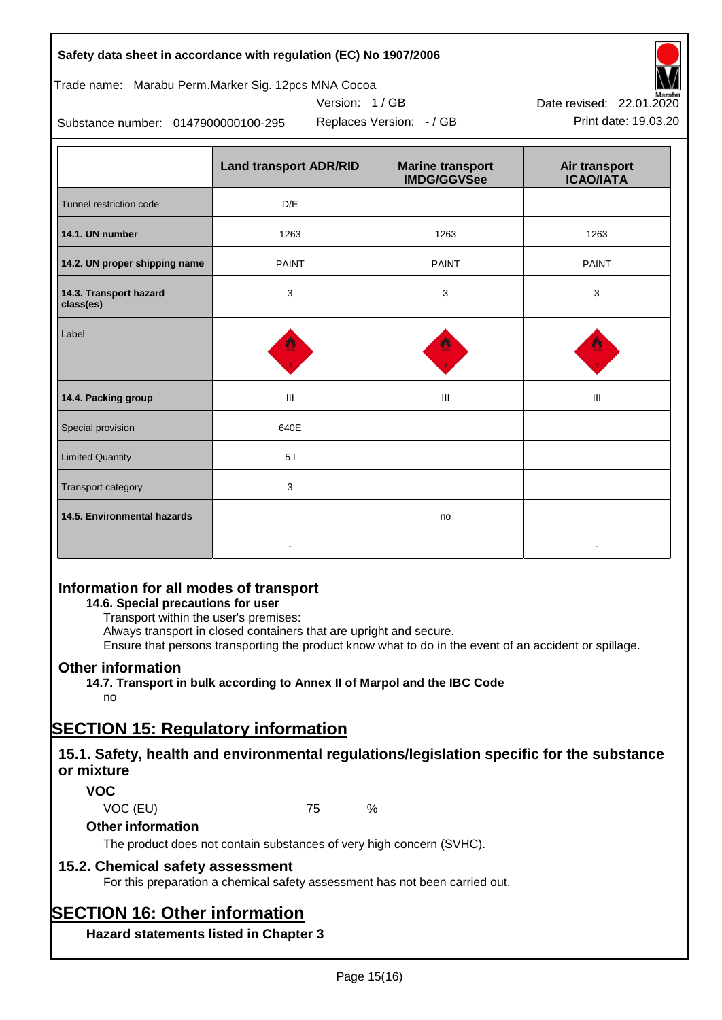|  |  |  | Safety data sheet in accordance with regulation (EC) No 1907/2006 |  |
|--|--|--|-------------------------------------------------------------------|--|
|--|--|--|-------------------------------------------------------------------|--|

Trade name: Marabu Perm.Marker Sig. 12pcs MNA Cocoa

Version: 1 / GB

Replaces Version:  $-$  / GB Print date: 19.03.20



Substance number: 0147900000100-295

|                                     | <b>Land transport ADR/RID</b> | <b>Marine transport</b><br><b>IMDG/GGVSee</b> | Air transport<br><b>ICAO/IATA</b> |
|-------------------------------------|-------------------------------|-----------------------------------------------|-----------------------------------|
| Tunnel restriction code             | D/E                           |                                               |                                   |
| 14.1. UN number                     | 1263                          | 1263                                          | 1263                              |
| 14.2. UN proper shipping name       | <b>PAINT</b>                  | <b>PAINT</b>                                  | <b>PAINT</b>                      |
| 14.3. Transport hazard<br>class(es) | 3                             | 3                                             | 3                                 |
| Label                               |                               |                                               |                                   |
| 14.4. Packing group                 | $\mathbf{III}$                | Ш                                             | Ш                                 |
| Special provision                   | 640E                          |                                               |                                   |
| <b>Limited Quantity</b>             | 51                            |                                               |                                   |
| Transport category                  | 3                             |                                               |                                   |
| 14.5. Environmental hazards         |                               | no                                            |                                   |

# **Information for all modes of transport**

### **14.6. Special precautions for user**

Transport within the user's premises:

Always transport in closed containers that are upright and secure.

Ensure that persons transporting the product know what to do in the event of an accident or spillage.

## **Other information**

**14.7. Transport in bulk according to Annex II of Marpol and the IBC Code** no

# **SECTION 15: Regulatory information**

## **15.1. Safety, health and environmental regulations/legislation specific for the substance or mixture**

## **VOC**

VOC (EU) 75 %

## **Other information**

The product does not contain substances of very high concern (SVHC).

## **15.2. Chemical safety assessment**

For this preparation a chemical safety assessment has not been carried out.

# **SECTION 16: Other information**

**Hazard statements listed in Chapter 3**